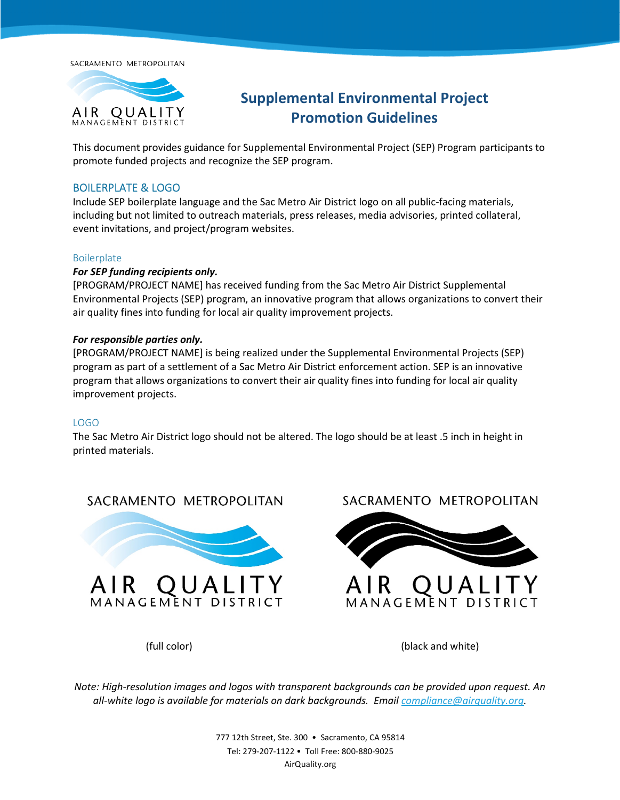SACRAMENTO METROPOLITAN



# **Supplemental Environmental Project Promotion Guidelines**

This document provides guidance for Supplemental Environmental Project (SEP) Program participants to promote funded projects and recognize the SEP program.

### BOILERPLATE & LOGO

Include SEP boilerplate language and the Sac Metro Air District logo on all public-facing materials, including but not limited to outreach materials, press releases, media advisories, printed collateral, event invitations, and project/program websites.

### Boilerplate

### *For SEP funding recipients only.*

[PROGRAM/PROJECT NAME] has received funding from the Sac Metro Air District Supplemental Environmental Projects (SEP) program, an innovative program that allows organizations to convert their air quality fines into funding for local air quality improvement projects.

### *For responsible parties only.*

[PROGRAM/PROJECT NAME] is being realized under the Supplemental Environmental Projects (SEP) program as part of a settlement of a Sac Metro Air District enforcement action. SEP is an innovative program that allows organizations to convert their air quality fines into funding for local air quality improvement projects.

### LOGO

The Sac Metro Air District logo should not be altered. The logo should be at least .5 inch in height in printed materials.

## SACRAMENTO METROPOLITAN



SACRAMENTO METROPOLITAN



QUALI AIR MANAGEMENT DISTRIC

(full color) (black and white)

*Note: High-resolution images and logos with transparent backgrounds can be provided upon request. An all-white logo is available for materials on dark backgrounds. Email [compliance@airquality.org.](mailto:compliance@airquality.org)* 

> 777 12th Street, Ste. 300 • Sacramento, CA 95814 Tel: 279-207-1122 • Toll Free: 800-880-9025 AirQuality.org